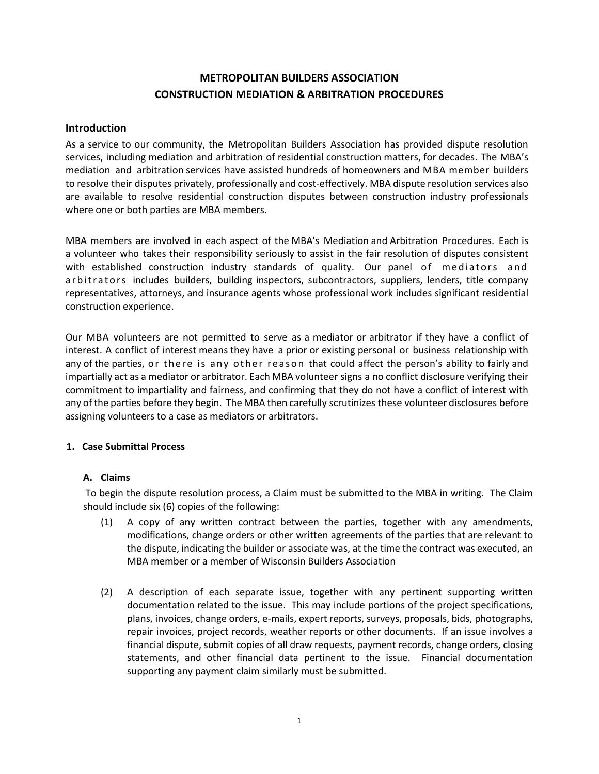## **METROPOLITAN BUILDERS ASSOCIATION CONSTRUCTION MEDIATION & ARBITRATION PROCEDURES**

## **Introduction**

As a service to our community, the Metropolitan Builders Association has provided dispute resolution services, including mediation and arbitration of residential construction matters, for decades. The MBA's mediation and arbitration services have assisted hundreds of homeowners and MBA member builders to resolve their disputes privately, professionally and cost-effectively. MBA dispute resolution services also are available to resolve residential construction disputes between construction industry professionals where one or both parties are MBA members.

MBA members are involved in each aspect of the MBA's Mediation and Arbitration Procedures. Each is a volunteer who takes their responsibility seriously to assist in the fair resolution of disputes consistent with established construction industry standards of quality. Our panel of mediators and a r b i t rators includes builders, building inspectors, subcontractors, suppliers, lenders, title company representatives, attorneys, and insurance agents whose professional work includes significant residential construction experience.

Our MBA volunteers are not permitted to serve as a mediator or arbitrator if they have a conflict of interest. A conflict of interest means they have a prior or existing personal or business relationship with any of the parties, or there is any other reason that could affect the person's ability to fairly and impartially act as a mediator or arbitrator. Each MBA volunteer signs a no conflict disclosure verifying their commitment to impartiality and fairness, and confirming that they do not have a conflict of interest with any of the parties before they begin. The MBA then carefully scrutinizes these volunteer disclosures before assigning volunteers to a case as mediators or arbitrators.

## **1. Case Submittal Process**

## **A. Claims**

To begin the dispute resolution process, a Claim must be submitted to the MBA in writing. The Claim should include six (6) copies of the following:

- (1) A copy of any written contract between the parties, together with any amendments, modifications, change orders or other written agreements of the parties that are relevant to the dispute, indicating the builder or associate was, at the time the contract was executed, an MBA member or a member of Wisconsin Builders Association
- (2) A description of each separate issue, together with any pertinent supporting written documentation related to the issue. This may include portions of the project specifications, plans, invoices, change orders, e-mails, expert reports, surveys, proposals, bids, photographs, repair invoices, project records, weather reports or other documents. If an issue involves a financial dispute, submit copies of all draw requests, payment records, change orders, closing statements, and other financial data pertinent to the issue. Financial documentation supporting any payment claim similarly must be submitted.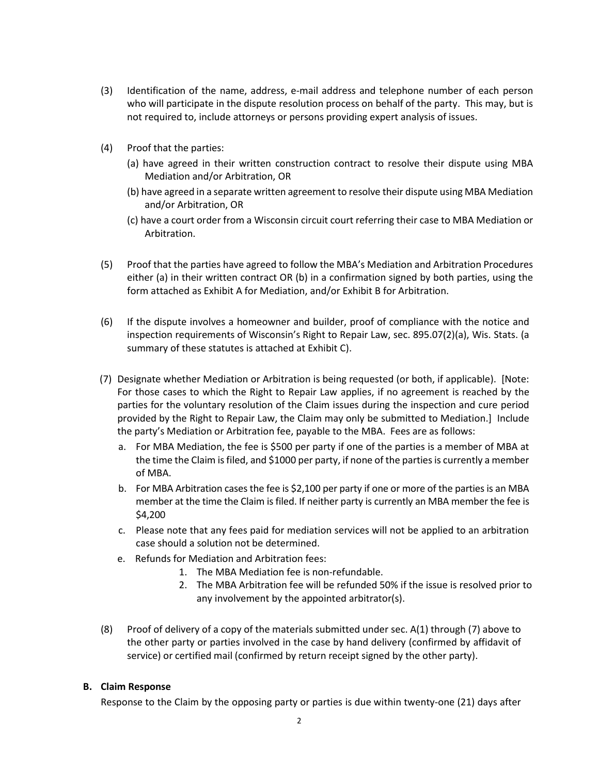- (3) Identification of the name, address, e-mail address and telephone number of each person who will participate in the dispute resolution process on behalf of the party. This may, but is not required to, include attorneys or persons providing expert analysis of issues.
- (4) Proof that the parties:
	- (a) have agreed in their written construction contract to resolve their dispute using MBA Mediation and/or Arbitration, OR
	- (b) have agreed in a separate written agreement to resolve their dispute using MBA Mediation and/or Arbitration, OR
	- (c) have a court order from a Wisconsin circuit court referring their case to MBA Mediation or Arbitration.
- (5) Proof that the parties have agreed to follow the MBA's Mediation and Arbitration Procedures either (a) in their written contract OR (b) in a confirmation signed by both parties, using the form attached as Exhibit A for Mediation, and/or Exhibit B for Arbitration.
- (6) If the dispute involves a homeowner and builder, proof of compliance with the notice and inspection requirements of Wisconsin's Right to Repair Law, sec. 895.07(2)(a), Wis. Stats. (a summary of these statutes is attached at Exhibit C).
- (7) Designate whether Mediation or Arbitration is being requested (or both, if applicable). [Note: For those cases to which the Right to Repair Law applies, if no agreement is reached by the parties for the voluntary resolution of the Claim issues during the inspection and cure period provided by the Right to Repair Law, the Claim may only be submitted to Mediation.] Include the party's Mediation or Arbitration fee, payable to the MBA. Fees are as follows:
	- a. For MBA Mediation, the fee is \$500 per party if one of the parties is a member of MBA at the time the Claim is filed, and \$1000 per party, if none of the parties is currently a member of MBA.
	- b. For MBA Arbitration cases the fee is \$2,100 per party if one or more of the parties is an MBA member at the time the Claim is filed. If neither party is currently an MBA member the fee is \$4,200
	- c. Please note that any fees paid for mediation services will not be applied to an arbitration case should a solution not be determined.
	- e. Refunds for Mediation and Arbitration fees:
		- 1. The MBA Mediation fee is non-refundable.
		- 2. The MBA Arbitration fee will be refunded 50% if the issue is resolved prior to any involvement by the appointed arbitrator(s).
- (8) Proof of delivery of a copy of the materials submitted under sec.  $A(1)$  through (7) above to the other party or parties involved in the case by hand delivery (confirmed by affidavit of service) or certified mail (confirmed by return receipt signed by the other party).

## **B. Claim Response**

Response to the Claim by the opposing party or parties is due within twenty-one (21) days after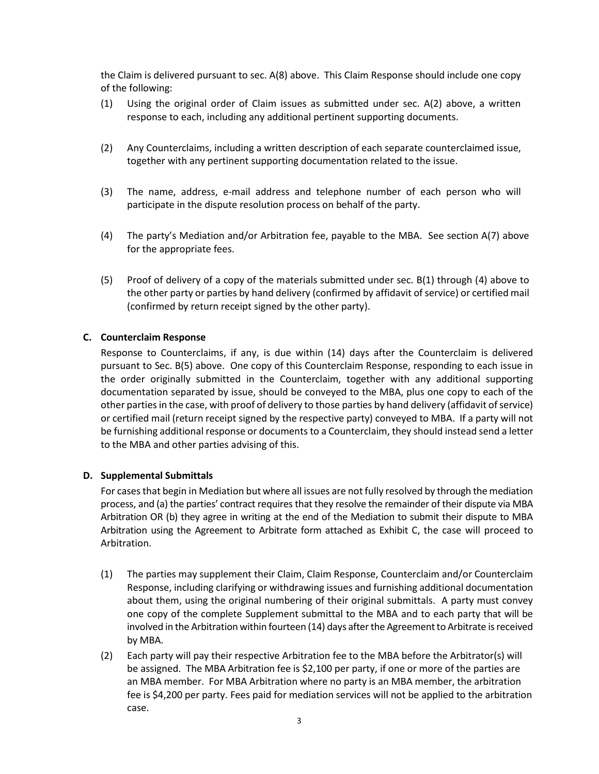the Claim is delivered pursuant to sec. A(8) above. This Claim Response should include one copy of the following:

- (1) Using the original order of Claim issues as submitted under sec. A(2) above, a written response to each, including any additional pertinent supporting documents.
- (2) Any Counterclaims, including a written description of each separate counterclaimed issue, together with any pertinent supporting documentation related to the issue.
- (3) The name, address, e-mail address and telephone number of each person who will participate in the dispute resolution process on behalf of the party.
- (4) The party's Mediation and/or Arbitration fee, payable to the MBA. See section A(7) above for the appropriate fees.
- (5) Proof of delivery of a copy of the materials submitted under sec. B(1) through (4) above to the other party or parties by hand delivery (confirmed by affidavit of service) or certified mail (confirmed by return receipt signed by the other party).

## **C. Counterclaim Response**

Response to Counterclaims, if any, is due within (14) days after the Counterclaim is delivered pursuant to Sec. B(5) above. One copy of this Counterclaim Response, responding to each issue in the order originally submitted in the Counterclaim, together with any additional supporting documentation separated by issue, should be conveyed to the MBA, plus one copy to each of the other parties in the case, with proof of delivery to those parties by hand delivery (affidavit of service) or certified mail (return receipt signed by the respective party) conveyed to MBA. If a party will not be furnishing additional response or documents to a Counterclaim, they should instead send a letter to the MBA and other parties advising of this.

#### **D. Supplemental Submittals**

For cases that begin in Mediation but where all issues are not fully resolved by through the mediation process, and (a) the parties' contract requires that they resolve the remainder of their dispute via MBA Arbitration OR (b) they agree in writing at the end of the Mediation to submit their dispute to MBA Arbitration using the Agreement to Arbitrate form attached as Exhibit C, the case will proceed to Arbitration.

- (1) The parties may supplement their Claim, Claim Response, Counterclaim and/or Counterclaim Response, including clarifying or withdrawing issues and furnishing additional documentation about them, using the original numbering of their original submittals. A party must convey one copy of the complete Supplement submittal to the MBA and to each party that will be involved in the Arbitration within fourteen (14) days after the Agreement to Arbitrate is received by MBA.
- (2) Each party will pay their respective Arbitration fee to the MBA before the Arbitrator(s) will be assigned. The MBA Arbitration fee is \$2,100 per party, if one or more of the parties are an MBA member. For MBA Arbitration where no party is an MBA member, the arbitration fee is \$4,200 per party. Fees paid for mediation services will not be applied to the arbitration case.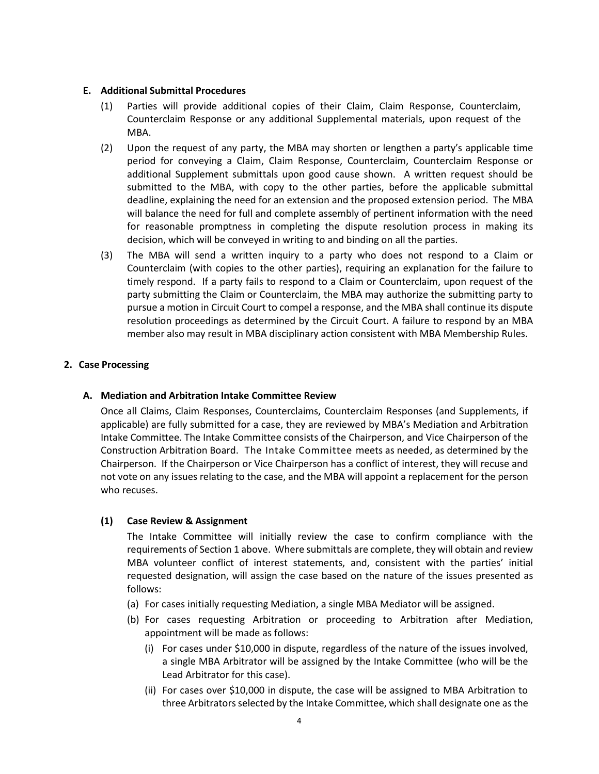#### **E. Additional Submittal Procedures**

- (1) Parties will provide additional copies of their Claim, Claim Response, Counterclaim, Counterclaim Response or any additional Supplemental materials, upon request of the MBA.
- (2) Upon the request of any party, the MBA may shorten or lengthen a party's applicable time period for conveying a Claim, Claim Response, Counterclaim, Counterclaim Response or additional Supplement submittals upon good cause shown. A written request should be submitted to the MBA, with copy to the other parties, before the applicable submittal deadline, explaining the need for an extension and the proposed extension period. The MBA will balance the need for full and complete assembly of pertinent information with the need for reasonable promptness in completing the dispute resolution process in making its decision, which will be conveyed in writing to and binding on all the parties.
- (3) The MBA will send a written inquiry to a party who does not respond to a Claim or Counterclaim (with copies to the other parties), requiring an explanation for the failure to timely respond. If a party fails to respond to a Claim or Counterclaim, upon request of the party submitting the Claim or Counterclaim, the MBA may authorize the submitting party to pursue a motion in Circuit Court to compel a response, and the MBA shall continue its dispute resolution proceedings as determined by the Circuit Court. A failure to respond by an MBA member also may result in MBA disciplinary action consistent with MBA Membership Rules.

## **2. Case Processing**

## **A. Mediation and Arbitration Intake Committee Review**

Once all Claims, Claim Responses, Counterclaims, Counterclaim Responses (and Supplements, if applicable) are fully submitted for a case, they are reviewed by MBA's Mediation and Arbitration Intake Committee. The Intake Committee consists of the Chairperson, and Vice Chairperson of the Construction Arbitration Board. The Intake Committee meets as needed, as determined by the Chairperson. If the Chairperson or Vice Chairperson has a conflict of interest, they will recuse and not vote on any issues relating to the case, and the MBA will appoint a replacement for the person who recuses.

## **(1) Case Review & Assignment**

The Intake Committee will initially review the case to confirm compliance with the requirements of Section 1 above. Where submittals are complete, they will obtain and review MBA volunteer conflict of interest statements, and, consistent with the parties' initial requested designation, will assign the case based on the nature of the issues presented as follows:

- (a) For cases initially requesting Mediation, a single MBA Mediator will be assigned.
- (b) For cases requesting Arbitration or proceeding to Arbitration after Mediation, appointment will be made as follows:
	- (i) For cases under \$10,000 in dispute, regardless of the nature of the issues involved, a single MBA Arbitrator will be assigned by the Intake Committee (who will be the Lead Arbitrator for this case).
	- (ii) For cases over \$10,000 in dispute, the case will be assigned to MBA Arbitration to three Arbitrators selected by the Intake Committee, which shall designate one as the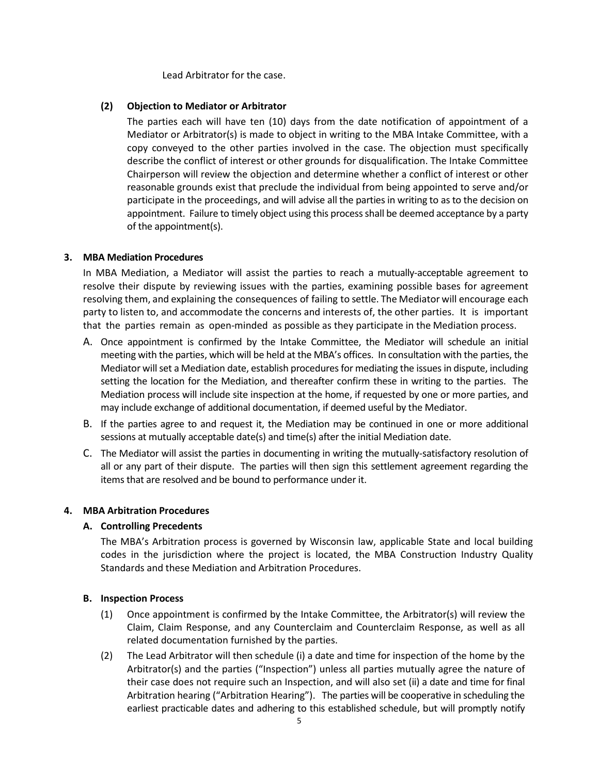Lead Arbitrator for the case.

#### **(2) Objection to Mediator or Arbitrator**

The parties each will have ten (10) days from the date notification of appointment of a Mediator or Arbitrator(s) is made to object in writing to the MBA Intake Committee, with a copy conveyed to the other parties involved in the case. The objection must specifically describe the conflict of interest or other grounds for disqualification. The Intake Committee Chairperson will review the objection and determine whether a conflict of interest or other reasonable grounds exist that preclude the individual from being appointed to serve and/or participate in the proceedings, and will advise all the parties in writing to as to the decision on appointment. Failure to timely object using this process shall be deemed acceptance by a party of the appointment(s).

## **3. MBA Mediation Procedures**

In MBA Mediation, a Mediator will assist the parties to reach a mutually-acceptable agreement to resolve their dispute by reviewing issues with the parties, examining possible bases for agreement resolving them, and explaining the consequences of failing to settle. The Mediator will encourage each party to listen to, and accommodate the concerns and interests of, the other parties. It is important that the parties remain as open-minded as possible as they participate in the Mediation process.

- A. Once appointment is confirmed by the Intake Committee, the Mediator will schedule an initial meeting with the parties, which will be held at the MBA's offices. In consultation with the parties, the Mediator will set a Mediation date, establish procedures for mediating the issues in dispute, including setting the location for the Mediation, and thereafter confirm these in writing to the parties. The Mediation process will include site inspection at the home, if requested by one or more parties, and may include exchange of additional documentation, if deemed useful by the Mediator.
- B. If the parties agree to and request it, the Mediation may be continued in one or more additional sessions at mutually acceptable date(s) and time(s) after the initial Mediation date.
- C. The Mediator will assist the parties in documenting in writing the mutually-satisfactory resolution of all or any part of their dispute. The parties will then sign this settlement agreement regarding the items that are resolved and be bound to performance under it.

## **4. MBA Arbitration Procedures**

## **A. Controlling Precedents**

The MBA's Arbitration process is governed by Wisconsin law, applicable State and local building codes in the jurisdiction where the project is located, the MBA Construction Industry Quality Standards and these Mediation and Arbitration Procedures.

## **B. Inspection Process**

- (1) Once appointment is confirmed by the Intake Committee, the Arbitrator(s) will review the Claim, Claim Response, and any Counterclaim and Counterclaim Response, as well as all related documentation furnished by the parties.
- (2) The Lead Arbitrator will then schedule (i) a date and time for inspection of the home by the Arbitrator(s) and the parties ("Inspection") unless all parties mutually agree the nature of their case does not require such an Inspection, and will also set (ii) a date and time for final Arbitration hearing ("Arbitration Hearing"). The parties will be cooperative in scheduling the earliest practicable dates and adhering to this established schedule, but will promptly notify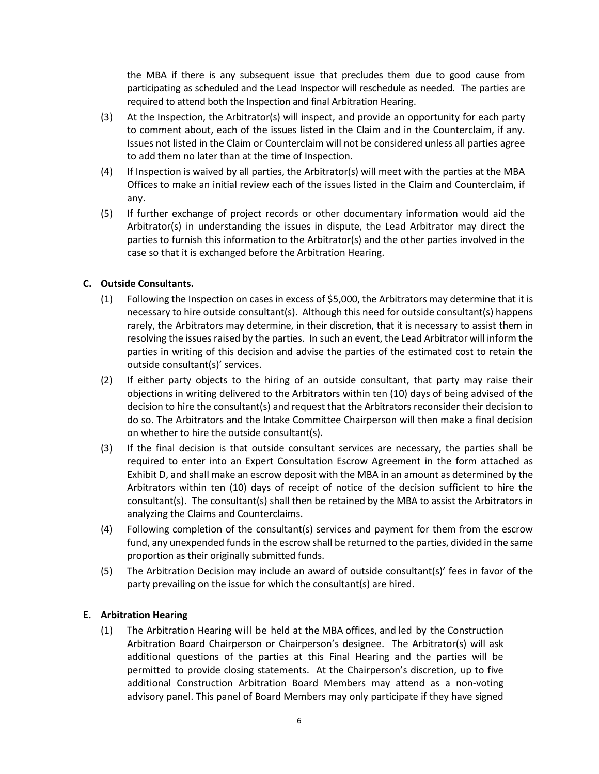the MBA if there is any subsequent issue that precludes them due to good cause from participating as scheduled and the Lead Inspector will reschedule as needed. The parties are required to attend both the Inspection and final Arbitration Hearing.

- (3) At the Inspection, the Arbitrator(s) will inspect, and provide an opportunity for each party to comment about, each of the issues listed in the Claim and in the Counterclaim, if any. Issues not listed in the Claim or Counterclaim will not be considered unless all parties agree to add them no later than at the time of Inspection.
- (4) If Inspection is waived by all parties, the Arbitrator(s) will meet with the parties at the MBA Offices to make an initial review each of the issues listed in the Claim and Counterclaim, if any.
- (5) If further exchange of project records or other documentary information would aid the Arbitrator(s) in understanding the issues in dispute, the Lead Arbitrator may direct the parties to furnish this information to the Arbitrator(s) and the other parties involved in the case so that it is exchanged before the Arbitration Hearing.

## **C. Outside Consultants.**

- (1) Following the Inspection on cases in excess of \$5,000, the Arbitrators may determine that it is necessary to hire outside consultant(s). Although this need for outside consultant(s) happens rarely, the Arbitrators may determine, in their discretion, that it is necessary to assist them in resolving the issues raised by the parties. In such an event, the Lead Arbitrator will inform the parties in writing of this decision and advise the parties of the estimated cost to retain the outside consultant(s)' services.
- (2) If either party objects to the hiring of an outside consultant, that party may raise their objections in writing delivered to the Arbitrators within ten (10) days of being advised of the decision to hire the consultant(s) and request that the Arbitrators reconsider their decision to do so. The Arbitrators and the Intake Committee Chairperson will then make a final decision on whether to hire the outside consultant(s).
- (3) If the final decision is that outside consultant services are necessary, the parties shall be required to enter into an Expert Consultation Escrow Agreement in the form attached as Exhibit D, and shall make an escrow deposit with the MBA in an amount as determined by the Arbitrators within ten (10) days of receipt of notice of the decision sufficient to hire the consultant(s). The consultant(s) shall then be retained by the MBA to assist the Arbitrators in analyzing the Claims and Counterclaims.
- (4) Following completion of the consultant(s) services and payment for them from the escrow fund, any unexpended funds in the escrow shall be returned to the parties, divided in the same proportion as their originally submitted funds.
- (5) The Arbitration Decision may include an award of outside consultant(s)' fees in favor of the party prevailing on the issue for which the consultant(s) are hired.

## **E. Arbitration Hearing**

(1) The Arbitration Hearing will be held at the MBA offices, and led by the Construction Arbitration Board Chairperson or Chairperson's designee. The Arbitrator(s) will ask additional questions of the parties at this Final Hearing and the parties will be permitted to provide closing statements. At the Chairperson's discretion, up to five additional Construction Arbitration Board Members may attend as a non-voting advisory panel. This panel of Board Members may only participate if they have signed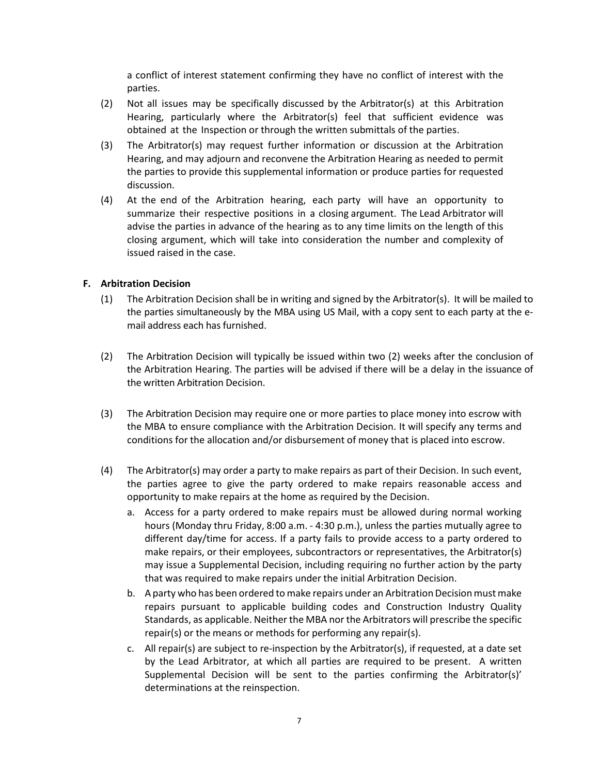a conflict of interest statement confirming they have no conflict of interest with the parties.

- (2) Not all issues may be specifically discussed by the Arbitrator(s) at this Arbitration Hearing, particularly where the Arbitrator(s) feel that sufficient evidence was obtained at the Inspection or through the written submittals of the parties.
- (3) The Arbitrator(s) may request further information or discussion at the Arbitration Hearing, and may adjourn and reconvene the Arbitration Hearing as needed to permit the parties to provide this supplemental information or produce parties for requested discussion.
- (4) At the end of the Arbitration hearing, each party will have an opportunity to summarize their respective positions in a closing argument. The Lead Arbitrator will advise the parties in advance of the hearing as to any time limits on the length of this closing argument, which will take into consideration the number and complexity of issued raised in the case.

## **F. Arbitration Decision**

- (1) The Arbitration Decision shall be in writing and signed by the Arbitrator(s). It will be mailed to the parties simultaneously by the MBA using US Mail, with a copy sent to each party at the email address each has furnished.
- (2) The Arbitration Decision will typically be issued within two (2) weeks after the conclusion of the Arbitration Hearing. The parties will be advised if there will be a delay in the issuance of the written Arbitration Decision.
- (3) The Arbitration Decision may require one or more parties to place money into escrow with the MBA to ensure compliance with the Arbitration Decision. It will specify any terms and conditions for the allocation and/or disbursement of money that is placed into escrow.
- (4) The Arbitrator(s) may order a party to make repairs as part of their Decision. In such event, the parties agree to give the party ordered to make repairs reasonable access and opportunity to make repairs at the home as required by the Decision.
	- a. Access for a party ordered to make repairs must be allowed during normal working hours (Monday thru Friday, 8:00 a.m. - 4:30 p.m.), unless the parties mutually agree to different day/time for access. If a party fails to provide access to a party ordered to make repairs, or their employees, subcontractors or representatives, the Arbitrator(s) may issue a Supplemental Decision, including requiring no further action by the party that was required to make repairs under the initial Arbitration Decision.
	- b. A party who has been ordered to make repairs under an Arbitration Decision must make repairs pursuant to applicable building codes and Construction Industry Quality Standards, as applicable. Neither the MBA nor the Arbitrators will prescribe the specific repair(s) or the means or methods for performing any repair(s).
	- c. All repair(s) are subject to re-inspection by the Arbitrator(s), if requested, at a date set by the Lead Arbitrator, at which all parties are required to be present. A written Supplemental Decision will be sent to the parties confirming the Arbitrator(s)' determinations at the reinspection.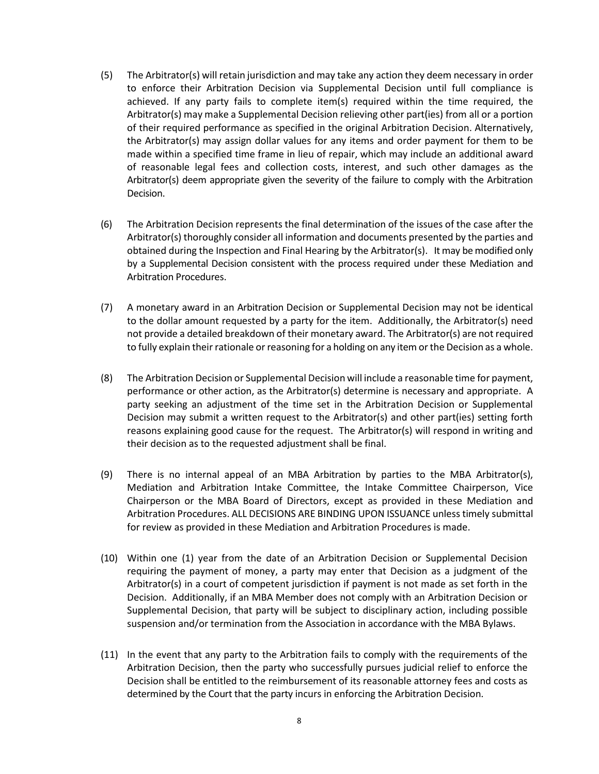- (5) The Arbitrator(s) will retain jurisdiction and may take any action they deem necessary in order to enforce their Arbitration Decision via Supplemental Decision until full compliance is achieved. If any party fails to complete item(s) required within the time required, the Arbitrator(s) may make a Supplemental Decision relieving other part(ies) from all or a portion of their required performance as specified in the original Arbitration Decision. Alternatively, the Arbitrator(s) may assign dollar values for any items and order payment for them to be made within a specified time frame in lieu of repair, which may include an additional award of reasonable legal fees and collection costs, interest, and such other damages as the Arbitrator(s) deem appropriate given the severity of the failure to comply with the Arbitration Decision.
- (6) The Arbitration Decision represents the final determination of the issues of the case after the Arbitrator(s) thoroughly consider all information and documents presented by the parties and obtained during the Inspection and Final Hearing by the Arbitrator(s). It may be modified only by a Supplemental Decision consistent with the process required under these Mediation and Arbitration Procedures.
- (7) A monetary award in an Arbitration Decision or Supplemental Decision may not be identical to the dollar amount requested by a party for the item. Additionally, the Arbitrator(s) need not provide a detailed breakdown of their monetary award. The Arbitrator(s) are not required to fully explain their rationale or reasoning for a holding on any item or the Decision as a whole.
- (8) The Arbitration Decision or Supplemental Decision will include a reasonable time for payment, performance or other action, as the Arbitrator(s) determine is necessary and appropriate. A party seeking an adjustment of the time set in the Arbitration Decision or Supplemental Decision may submit a written request to the Arbitrator(s) and other part(ies) setting forth reasons explaining good cause for the request. The Arbitrator(s) will respond in writing and their decision as to the requested adjustment shall be final.
- (9) There is no internal appeal of an MBA Arbitration by parties to the MBA Arbitrator(s), Mediation and Arbitration Intake Committee, the Intake Committee Chairperson, Vice Chairperson or the MBA Board of Directors, except as provided in these Mediation and Arbitration Procedures. ALL DECISIONS ARE BINDING UPON ISSUANCE unless timely submittal for review as provided in these Mediation and Arbitration Procedures is made.
- (10) Within one (1) year from the date of an Arbitration Decision or Supplemental Decision requiring the payment of money, a party may enter that Decision as a judgment of the Arbitrator(s) in a court of competent jurisdiction if payment is not made as set forth in the Decision. Additionally, if an MBA Member does not comply with an Arbitration Decision or Supplemental Decision, that party will be subject to disciplinary action, including possible suspension and/or termination from the Association in accordance with the MBA Bylaws.
- (11) In the event that any party to the Arbitration fails to comply with the requirements of the Arbitration Decision, then the party who successfully pursues judicial relief to enforce the Decision shall be entitled to the reimbursement of its reasonable attorney fees and costs as determined by the Court that the party incurs in enforcing the Arbitration Decision.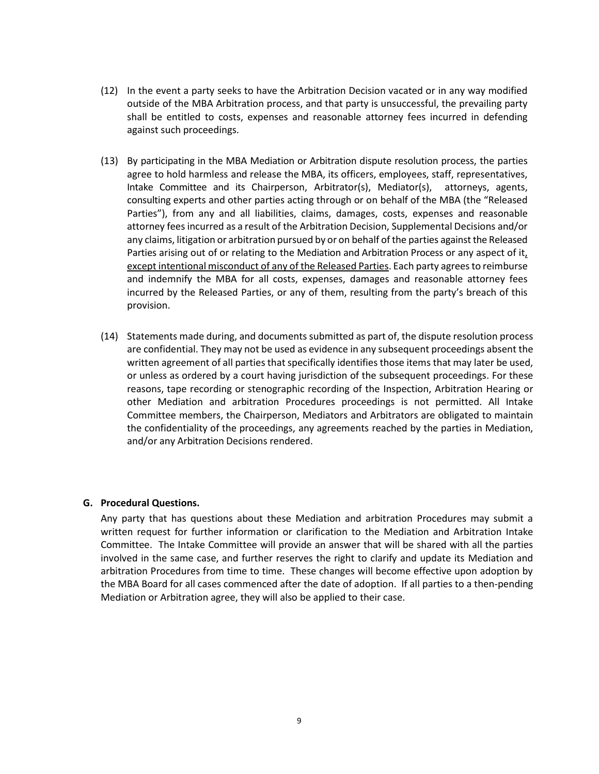- (12) In the event a party seeks to have the Arbitration Decision vacated or in any way modified outside of the MBA Arbitration process, and that party is unsuccessful, the prevailing party shall be entitled to costs, expenses and reasonable attorney fees incurred in defending against such proceedings.
- (13) By participating in the MBA Mediation or Arbitration dispute resolution process, the parties agree to hold harmless and release the MBA, its officers, employees, staff, representatives, Intake Committee and its Chairperson, Arbitrator(s), Mediator(s), attorneys, agents, consulting experts and other parties acting through or on behalf of the MBA (the "Released Parties"), from any and all liabilities, claims, damages, costs, expenses and reasonable attorney feesincurred as a result of the Arbitration Decision, Supplemental Decisions and/or any claims, litigation or arbitration pursued by or on behalf of the parties against the Released Parties arising out of or relating to the Mediation and Arbitration Process or any aspect of it, except intentional misconduct of any of the Released Parties. Each party agrees to reimburse and indemnify the MBA for all costs, expenses, damages and reasonable attorney fees incurred by the Released Parties, or any of them, resulting from the party's breach of this provision.
- (14) Statements made during, and documents submitted as part of, the dispute resolution process are confidential. They may not be used as evidence in any subsequent proceedings absent the written agreement of all parties that specifically identifies those items that may later be used, or unless as ordered by a court having jurisdiction of the subsequent proceedings. For these reasons, tape recording or stenographic recording of the Inspection, Arbitration Hearing or other Mediation and arbitration Procedures proceedings is not permitted. All Intake Committee members, the Chairperson, Mediators and Arbitrators are obligated to maintain the confidentiality of the proceedings, any agreements reached by the parties in Mediation, and/or any Arbitration Decisions rendered.

#### **G. Procedural Questions.**

Any party that has questions about these Mediation and arbitration Procedures may submit a written request for further information or clarification to the Mediation and Arbitration Intake Committee. The Intake Committee will provide an answer that will be shared with all the parties involved in the same case, and further reserves the right to clarify and update its Mediation and arbitration Procedures from time to time. These changes will become effective upon adoption by the MBA Board for all cases commenced after the date of adoption. If all parties to a then-pending Mediation or Arbitration agree, they will also be applied to their case.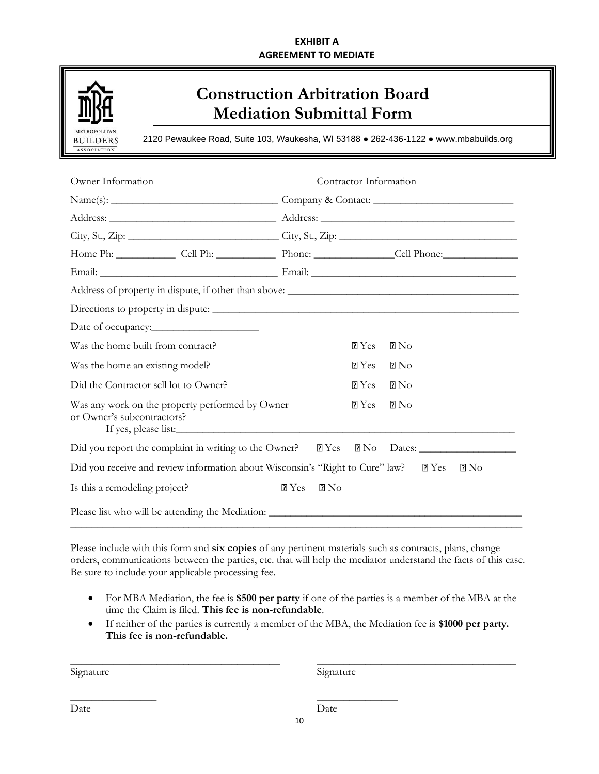## **EXHIBIT A AGREEMENT TO MEDIATE**



# **Construction Arbitration Board Mediation Submittal Form**

2120 Pewaukee Road, Suite 103, Waukesha, WI 53188 ● 262-436-1122 ● www.mbabuilds.org

| Owner Information                                                                                    |                         | Contractor Information |                  |
|------------------------------------------------------------------------------------------------------|-------------------------|------------------------|------------------|
|                                                                                                      |                         |                        |                  |
|                                                                                                      |                         |                        |                  |
|                                                                                                      |                         |                        |                  |
| Home Ph: Cell Ph: Cell Ph: Phone: Cell Phone: Cell Phone:                                            |                         |                        |                  |
|                                                                                                      |                         |                        |                  |
|                                                                                                      |                         |                        |                  |
|                                                                                                      |                         |                        |                  |
|                                                                                                      |                         |                        |                  |
| Was the home built from contract?                                                                    |                         | PYes                   | $2\,\mathrm{No}$ |
| Was the home an existing model?                                                                      |                         | PYes                   | $2\,\mathrm{No}$ |
| Did the Contractor sell lot to Owner?                                                                |                         | PYes                   | $R_{\rm NO}$     |
| Was any work on the property performed by Owner<br>or Owner's subcontractors?                        |                         | PYes                   | $R_{\rm 2}$      |
| Did you report the complaint in writing to the Owner? 2 Yes 2 No Dates: ____________________________ |                         |                        |                  |
| Did you receive and review information about Wisconsin's "Right to Cure" law? 2 Yes                  |                         |                        | $\rm R\, No$     |
| Is this a remodeling project?                                                                        | PYes<br>2N <sub>0</sub> |                        |                  |
|                                                                                                      |                         |                        |                  |

Please include with this form and **six copies** of any pertinent materials such as contracts, plans, change orders, communications between the parties, etc. that will help the mediator understand the facts of this case. Be sure to include your applicable processing fee.

- For MBA Mediation, the fee is **\$500 per party** if one of the parties is a member of the MBA at the time the Claim is filed. **This fee is non-refundable**.
- If neither of the parties is currently a member of the MBA, the Mediation fee is **\$1000 per party. This fee is non-refundable.**

\_\_\_\_\_\_\_\_\_\_\_\_\_\_\_\_\_\_\_\_\_\_\_\_\_\_\_\_\_\_\_\_\_\_\_\_\_\_\_ \_\_\_\_\_\_\_\_\_\_\_\_\_\_\_\_\_\_\_\_\_\_\_\_\_\_\_\_\_\_\_\_\_\_\_\_\_

\_\_\_\_\_\_\_\_\_\_\_\_\_\_\_\_ \_\_\_\_\_\_\_\_\_\_\_\_\_\_\_

Signature Signature Signature

Date Date Date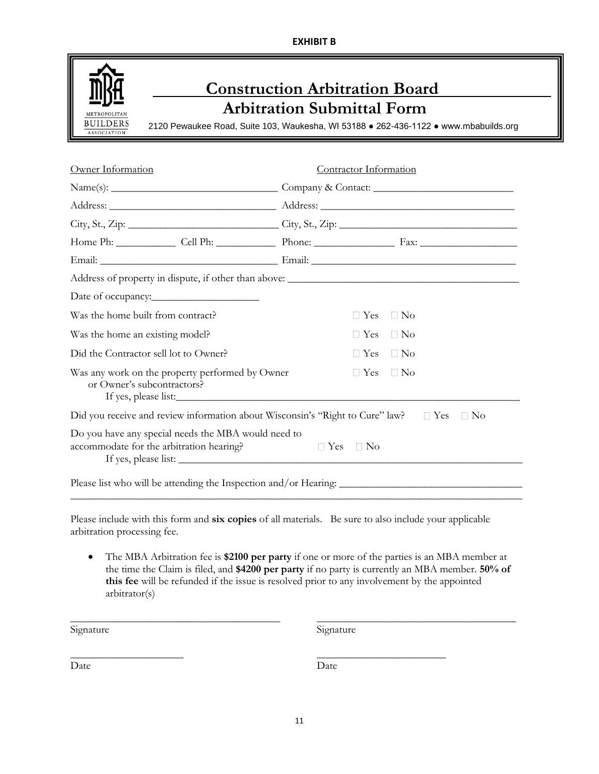**EXHIBIT B**



| Owner Information                                                                                     | Contractor Information |            |                      |           |  |
|-------------------------------------------------------------------------------------------------------|------------------------|------------|----------------------|-----------|--|
|                                                                                                       |                        |            |                      |           |  |
|                                                                                                       |                        |            |                      |           |  |
|                                                                                                       |                        |            |                      |           |  |
|                                                                                                       |                        |            |                      |           |  |
|                                                                                                       |                        |            |                      |           |  |
|                                                                                                       |                        |            |                      |           |  |
|                                                                                                       |                        |            |                      |           |  |
| Was the home built from contract?                                                                     |                        | $\Box$ Yes | $\Box$ No            |           |  |
| Was the home an existing model?                                                                       |                        |            | $\Box$ Yes $\Box$ No |           |  |
| Did the Contractor sell lot to Owner?                                                                 |                        | $\Box$ Yes | $\Box$ No            |           |  |
| Was any work on the property performed by Owner<br>or Owner's subcontractors?<br>If yes, please list: |                        | $\Box$ Yes | $\Box$ No            |           |  |
| Did you receive and review information about Wisconsin's "Right to Cure" law? □ Yes                   |                        |            |                      | $\Box$ No |  |
| Do you have any special needs the MBA would need to<br>accommodate for the arbitration hearing?       | $\Box$ Yes             | $\Box$ No  |                      |           |  |
| Please list who will be attending the Inspection and/or Hearing: ___________________________________  |                        |            |                      |           |  |

Please include with this form and **six copies** of all materials. Be sure to also include your applicable arbitration processing fee.

• The MBA Arbitration fee is **\$2100 per party** if one or more of the parties is an MBA member at the time the Claim is filed, and **\$4200 per party** if no party is currently an MBA member. **50% of this fee** will be refunded if the issue is resolved prior to any involvement by the appointed arbitrator(s)

\_\_\_\_\_\_\_\_\_\_\_\_\_\_\_\_\_\_\_\_\_\_\_\_\_\_\_\_\_\_\_\_\_\_\_\_\_\_\_ \_\_\_\_\_\_\_\_\_\_\_\_\_\_\_\_\_\_\_\_\_\_\_\_\_\_\_\_\_\_\_\_\_\_\_\_\_

 $\overline{\phantom{a}}$  , and the contract of the contract of the contract of the contract of the contract of the contract of the contract of the contract of the contract of the contract of the contract of the contract of the contrac

Signature Signature Signature

Date Date Date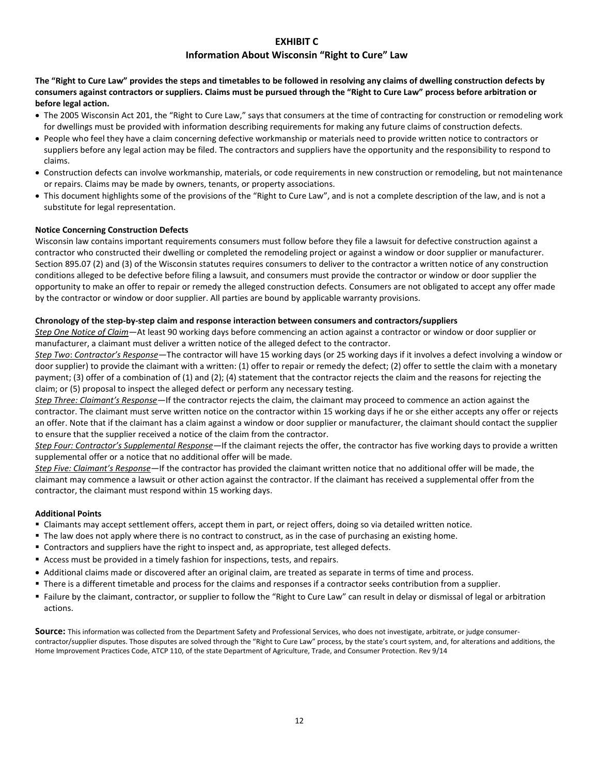## **EXHIBIT C**

#### **Information About Wisconsin "Right to Cure" Law**

**The "Right to Cure Law" provides the steps and timetables to be followed in resolving any claims of dwelling construction defects by consumers against contractors or suppliers. Claims must be pursued through the "Right to Cure Law" process before arbitration or before legal action.** 

- The 2005 Wisconsin Act 201, the "Right to Cure Law," says that consumers at the time of contracting for construction or remodeling work for dwellings must be provided with information describing requirements for making any future claims of construction defects.
- People who feel they have a claim concerning defective workmanship or materials need to provide written notice to contractors or suppliers before any legal action may be filed. The contractors and suppliers have the opportunity and the responsibility to respond to claims.
- Construction defects can involve workmanship, materials, or code requirements in new construction or remodeling, but not maintenance or repairs. Claims may be made by owners, tenants, or property associations.
- This document highlights some of the provisions of the "Right to Cure Law", and is not a complete description of the law, and is not a substitute for legal representation.

#### **Notice Concerning Construction Defects**

Wisconsin law contains important requirements consumers must follow before they file a lawsuit for defective construction against a contractor who constructed their dwelling or completed the remodeling project or against a window or door supplier or manufacturer. Section 895.07 (2) and (3) of the Wisconsin statutes requires consumers to deliver to the contractor a written notice of any construction conditions alleged to be defective before filing a lawsuit, and consumers must provide the contractor or window or door supplier the opportunity to make an offer to repair or remedy the alleged construction defects. Consumers are not obligated to accept any offer made by the contractor or window or door supplier. All parties are bound by applicable warranty provisions.

#### **Chronology of the step-by-step claim and response interaction between consumers and contractors/suppliers**

*Step One Notice of Claim—*At least 90 working days before commencing an action against a contractor or window or door supplier or manufacturer, a claimant must deliver a written notice of the alleged defect to the contractor.

*Step Two*: *Contractor's Response—*The contractor will have 15 working days (or 25 working days if it involves a defect involving a window or door supplier) to provide the claimant with a written: (1) offer to repair or remedy the defect; (2) offer to settle the claim with a monetary payment; (3) offer of a combination of (1) and (2); (4) statement that the contractor rejects the claim and the reasons for rejecting the claim; or (5) proposal to inspect the alleged defect or perform any necessary testing.

*Step Three: Claimant's Response—*If the contractor rejects the claim, the claimant may proceed to commence an action against the contractor. The claimant must serve written notice on the contractor within 15 working days if he or she either accepts any offer or rejects an offer. Note that if the claimant has a claim against a window or door supplier or manufacturer, the claimant should contact the supplier to ensure that the supplier received a notice of the claim from the contractor.

*Step Four: Contractor's Supplemental Response—*If the claimant rejects the offer, the contractor has five working days to provide a written supplemental offer or a notice that no additional offer will be made.

*Step Five: Claimant's Response—*If the contractor has provided the claimant written notice that no additional offer will be made, the claimant may commence a lawsuit or other action against the contractor. If the claimant has received a supplemental offer from the contractor, the claimant must respond within 15 working days.

#### **Additional Points**

- Claimants may accept settlement offers, accept them in part, or reject offers, doing so via detailed written notice.
- The law does not apply where there is no contract to construct, as in the case of purchasing an existing home.
- **EX Contractors and suppliers have the right to inspect and, as appropriate, test alleged defects.**
- Access must be provided in a timely fashion for inspections, tests, and repairs.
- Additional claims made or discovered after an original claim, are treated as separate in terms of time and process.
- There is a different timetable and process for the claims and responses if a contractor seeks contribution from a supplier.
- Failure by the claimant, contractor, or supplier to follow the "Right to Cure Law" can result in delay or dismissal of legal or arbitration actions.

Source: This information was collected from the Department Safety and Professional Services, who does not investigate, arbitrate, or judge consumercontractor/supplier disputes. Those disputes are solved through the "Right to Cure Law" process, by the state's court system, and, for alterations and additions, the Home Improvement Practices Code, ATCP 110, of the state Department of Agriculture, Trade, and Consumer Protection. Rev 9/14